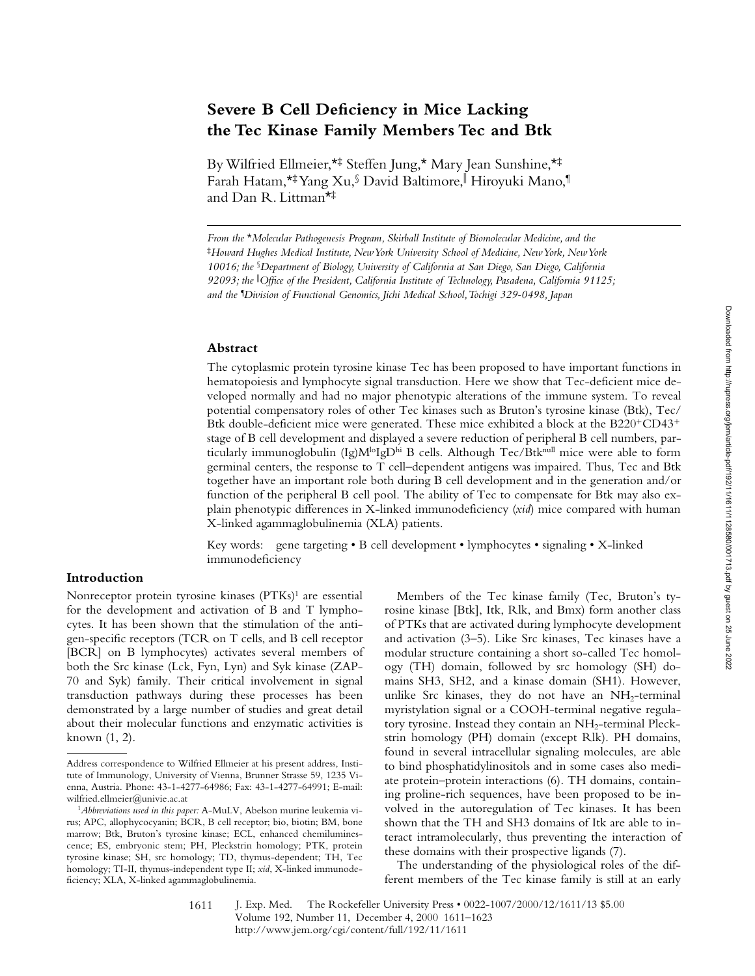# **Severe B Cell Deficiency in Mice Lacking the Tec Kinase Family Members Tec and Btk**

By Wilfried Ellmeier,\*‡ Steffen Jung,\* Mary Jean Sunshine,\*‡ Farah Hatam,\*‡Yang Xu,§ David Baltimore,∥ Hiroyuki Mano,¶ and Dan R. Littman\*‡

*From the* \**Molecular Pathogenesis Program, Skirball Institute of Biomolecular Medicine, and the*  ‡*Howard Hughes Medical Institute, New York University School of Medicine, New York, New York 10016; the* §*Department of Biology, University of California at San Diego, San Diego, California 92093; the* <sup>i</sup> *Office of the President, California Institute of Technology, Pasadena, California 91125; and the ¶ Division of Functional Genomics, Jichi Medical School, Tochigi 329-0498, Japan*

#### **Abstract**

The cytoplasmic protein tyrosine kinase Tec has been proposed to have important functions in hematopoiesis and lymphocyte signal transduction. Here we show that Tec-deficient mice developed normally and had no major phenotypic alterations of the immune system. To reveal potential compensatory roles of other Tec kinases such as Bruton's tyrosine kinase (Btk), Tec/ Btk double-deficient mice were generated. These mice exhibited a block at the  $B220^{+}CD43^{+}$ stage of B cell development and displayed a severe reduction of peripheral B cell numbers, particularly immunoglobulin (Ig) $M^{lo}IgD^{hi}B$  cells. Although Tec/Btk<sup>null</sup> mice were able to form germinal centers, the response to  $\overline{T}$  cell–dependent antigens was impaired. Thus, Tec and Btk together have an important role both during B cell development and in the generation and/or function of the peripheral B cell pool. The ability of Tec to compensate for Btk may also explain phenotypic differences in X-linked immunodeficiency (*xid*) mice compared with human X-linked agammaglobulinemia (XLA) patients.

Key words: gene targeting • B cell development • lymphocytes • signaling • X-linked immunodeficiency

## **Introduction**

Nonreceptor protein tyrosine kinases (PTKs)<sup>1</sup> are essential for the development and activation of B and T lymphocytes. It has been shown that the stimulation of the antigen-specific receptors (TCR on T cells, and B cell receptor [BCR] on B lymphocytes) activates several members of both the Src kinase (Lck, Fyn, Lyn) and Syk kinase (ZAP-70 and Syk) family. Their critical involvement in signal transduction pathways during these processes has been demonstrated by a large number of studies and great detail about their molecular functions and enzymatic activities is known (1, 2).

Members of the Tec kinase family (Tec, Bruton's tyrosine kinase [Btk], Itk, Rlk, and Bmx) form another class of PTKs that are activated during lymphocyte development and activation (3–5). Like Src kinases, Tec kinases have a modular structure containing a short so-called Tec homology (TH) domain, followed by src homology (SH) domains SH3, SH2, and a kinase domain (SH1). However, unlike Src kinases, they do not have an  $NH<sub>2</sub>$ -terminal myristylation signal or a COOH-terminal negative regulatory tyrosine. Instead they contain an NH<sub>2</sub>-terminal Pleckstrin homology (PH) domain (except Rlk). PH domains, found in several intracellular signaling molecules, are able to bind phosphatidylinositols and in some cases also mediate protein–protein interactions (6). TH domains, containing proline-rich sequences, have been proposed to be involved in the autoregulation of Tec kinases. It has been shown that the TH and SH3 domains of Itk are able to interact intramolecularly, thus preventing the interaction of these domains with their prospective ligands (7).

The understanding of the physiological roles of the different members of the Tec kinase family is still at an early

Address correspondence to Wilfried Ellmeier at his present address, Institute of Immunology, University of Vienna, Brunner Strasse 59, 1235 Vienna, Austria. Phone: 43-1-4277-64986; Fax: 43-1-4277-64991; E-mail: wilfried.ellmeier@univie.ac.at

<sup>1</sup>*Abbreviations used in this paper:* A-MuLV, Abelson murine leukemia virus; APC, allophycocyanin; BCR, B cell receptor; bio, biotin; BM, bone marrow; Btk, Bruton's tyrosine kinase; ECL, enhanced chemiluminescence; ES, embryonic stem; PH, Pleckstrin homology; PTK, protein tyrosine kinase; SH, src homology; TD, thymus-dependent; TH, Tec homology; TI-II, thymus-independent type II; *xid*, X-linked immunodeficiency; XLA, X-linked agammaglobulinemia.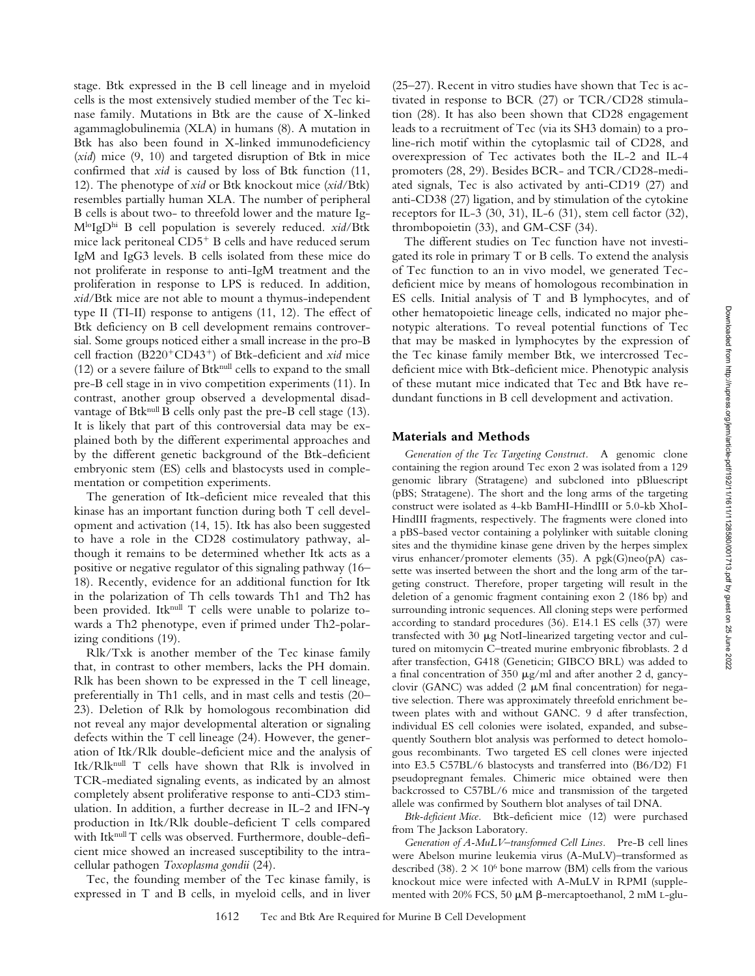stage. Btk expressed in the B cell lineage and in myeloid cells is the most extensively studied member of the Tec kinase family. Mutations in Btk are the cause of X-linked agammaglobulinemia (XLA) in humans (8). A mutation in Btk has also been found in X-linked immunodeficiency (*xid*) mice (9, 10) and targeted disruption of Btk in mice confirmed that *xid* is caused by loss of Btk function (11, 12). The phenotype of *xid* or Btk knockout mice (*xid*/Btk) resembles partially human XLA. The number of peripheral B cells is about two- to threefold lower and the mature Ig-MloIgDhi B cell population is severely reduced. *xid*/Btk mice lack peritoneal  $CD5^+$  B cells and have reduced serum IgM and IgG3 levels. B cells isolated from these mice do not proliferate in response to anti-IgM treatment and the proliferation in response to LPS is reduced. In addition, *xid*/Btk mice are not able to mount a thymus-independent type II (TI-II) response to antigens (11, 12). The effect of Btk deficiency on B cell development remains controversial. Some groups noticed either a small increase in the pro-B cell fraction (B220<sup>+</sup>CD43<sup>+</sup>) of Btk-deficient and *xid* mice  $(12)$  or a severe failure of Btk<sup>null</sup> cells to expand to the small pre-B cell stage in in vivo competition experiments (11). In contrast, another group observed a developmental disadvantage of Btk<sup>null</sup> B cells only past the pre-B cell stage (13). It is likely that part of this controversial data may be explained both by the different experimental approaches and by the different genetic background of the Btk-deficient embryonic stem (ES) cells and blastocysts used in complementation or competition experiments.

The generation of Itk-deficient mice revealed that this kinase has an important function during both T cell development and activation (14, 15). Itk has also been suggested to have a role in the CD28 costimulatory pathway, although it remains to be determined whether Itk acts as a positive or negative regulator of this signaling pathway (16– 18). Recently, evidence for an additional function for Itk in the polarization of Th cells towards Th1 and Th2 has been provided. Itknull T cells were unable to polarize towards a Th2 phenotype, even if primed under Th2-polarizing conditions (19).

Rlk/Txk is another member of the Tec kinase family that, in contrast to other members, lacks the PH domain. Rlk has been shown to be expressed in the T cell lineage, preferentially in Th1 cells, and in mast cells and testis (20– 23). Deletion of Rlk by homologous recombination did not reveal any major developmental alteration or signaling defects within the T cell lineage (24). However, the generation of Itk/Rlk double-deficient mice and the analysis of Itk/Rlknull T cells have shown that Rlk is involved in TCR-mediated signaling events, as indicated by an almost completely absent proliferative response to anti-CD3 stimulation. In addition, a further decrease in IL-2 and IFN- $\gamma$ production in Itk/Rlk double-deficient T cells compared with Itknull T cells was observed. Furthermore, double-deficient mice showed an increased susceptibility to the intracellular pathogen *Toxoplasma gondii* (24).

Tec, the founding member of the Tec kinase family, is expressed in T and B cells, in myeloid cells, and in liver

(25–27). Recent in vitro studies have shown that Tec is activated in response to BCR (27) or TCR/CD28 stimulation (28). It has also been shown that CD28 engagement leads to a recruitment of Tec (via its SH3 domain) to a proline-rich motif within the cytoplasmic tail of CD28, and overexpression of Tec activates both the IL-2 and IL-4 promoters (28, 29). Besides BCR- and TCR/CD28-mediated signals, Tec is also activated by anti-CD19 (27) and anti-CD38 (27) ligation, and by stimulation of the cytokine receptors for IL-3 (30, 31), IL-6 (31), stem cell factor (32), thrombopoietin (33), and GM-CSF (34).

The different studies on Tec function have not investigated its role in primary T or B cells. To extend the analysis of Tec function to an in vivo model, we generated Tecdeficient mice by means of homologous recombination in ES cells. Initial analysis of T and B lymphocytes, and of other hematopoietic lineage cells, indicated no major phenotypic alterations. To reveal potential functions of Tec that may be masked in lymphocytes by the expression of the Tec kinase family member Btk, we intercrossed Tecdeficient mice with Btk-deficient mice. Phenotypic analysis of these mutant mice indicated that Tec and Btk have redundant functions in B cell development and activation.

# **Materials and Methods**

*Generation of the Tec Targeting Construct.* A genomic clone containing the region around Tec exon 2 was isolated from a 129 genomic library (Stratagene) and subcloned into pBluescript (pBS; Stratagene). The short and the long arms of the targeting construct were isolated as 4-kb BamHI-HindIII or 5.0-kb XhoI-HindIII fragments, respectively. The fragments were cloned into a pBS-based vector containing a polylinker with suitable cloning sites and the thymidine kinase gene driven by the herpes simplex virus enhancer/promoter elements (35). A pgk(G)neo(pA) cassette was inserted between the short and the long arm of the targeting construct. Therefore, proper targeting will result in the deletion of a genomic fragment containing exon 2 (186 bp) and surrounding intronic sequences. All cloning steps were performed according to standard procedures (36). E14.1 ES cells (37) were transfected with 30  $\mu$ g NotI-linearized targeting vector and cultured on mitomycin C–treated murine embryonic fibroblasts. 2 d after transfection, G418 (Geneticin; GIBCO BRL) was added to a final concentration of  $350 \mu g/ml$  and after another 2 d, gancyclovir (GANC) was added  $(2 \mu M \text{ final concentration})$  for negative selection. There was approximately threefold enrichment between plates with and without GANC. 9 d after transfection, individual ES cell colonies were isolated, expanded, and subsequently Southern blot analysis was performed to detect homologous recombinants. Two targeted ES cell clones were injected into E3.5 C57BL/6 blastocysts and transferred into (B6/D2) F1 pseudopregnant females. Chimeric mice obtained were then backcrossed to C57BL/6 mice and transmission of the targeted allele was confirmed by Southern blot analyses of tail DNA.

*Btk-deficient Mice.* Btk-deficient mice (12) were purchased from The Jackson Laboratory.

*Generation of A-MuLV–transformed Cell Lines.* Pre-B cell lines were Abelson murine leukemia virus (A-MuLV)–transformed as described (38).  $2 \times 10^6$  bone marrow (BM) cells from the various knockout mice were infected with A-MuLV in RPMI (supplemented with 20% FCS, 50  $\mu$ M  $\beta$ -mercaptoethanol, 2 mM L-glu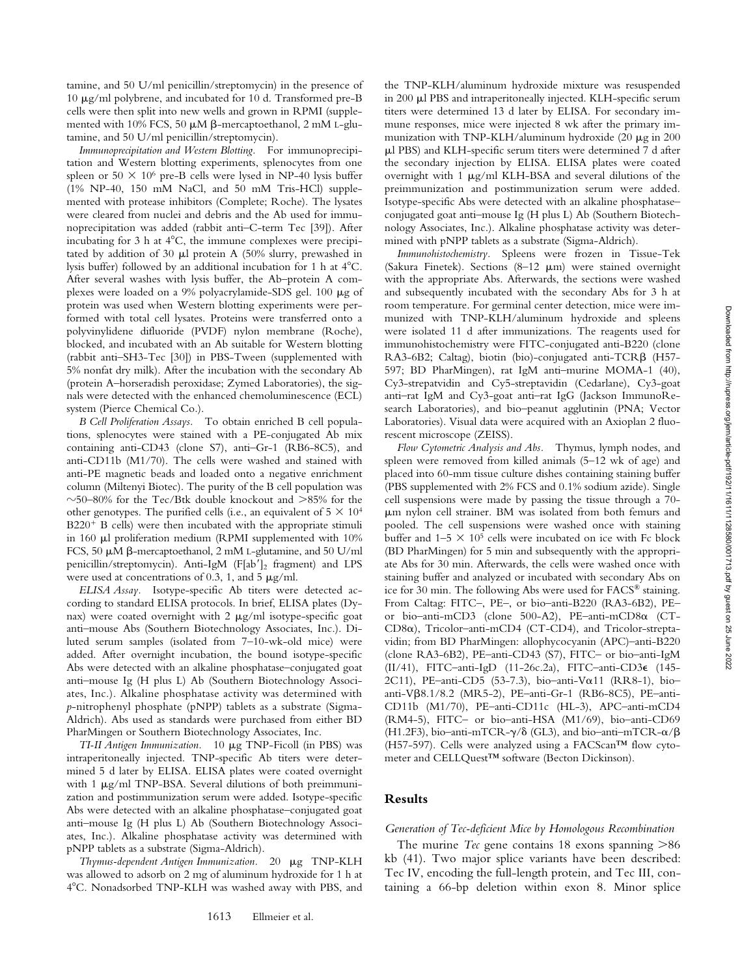tamine, and 50 U/ml penicillin/streptomycin) in the presence of 10 mg/ml polybrene, and incubated for 10 d. Transformed pre-B cells were then split into new wells and grown in RPMI (supplemented with 10% FCS, 50  $\mu$ M  $\beta$ -mercaptoethanol, 2 mM L-glutamine, and 50 U/ml penicillin/streptomycin).

*Immunoprecipitation and Western Blotting.* For immunoprecipitation and Western blotting experiments, splenocytes from one spleen or 50  $\times$  10<sup>6</sup> pre-B cells were lysed in NP-40 lysis buffer (1% NP-40, 150 mM NaCl, and 50 mM Tris-HCl) supplemented with protease inhibitors (Complete; Roche). The lysates were cleared from nuclei and debris and the Ab used for immunoprecipitation was added (rabbit anti–C-term Tec [39]). After incubating for  $3 h$  at  $4^{\circ}$ C, the immune complexes were precipitated by addition of 30  $\mu$ l protein A (50% slurry, prewashed in lysis buffer) followed by an additional incubation for 1 h at  $4^{\circ}$ C. After several washes with lysis buffer, the Ab–protein A complexes were loaded on a 9% polyacrylamide-SDS gel. 100 mg of protein was used when Western blotting experiments were performed with total cell lysates. Proteins were transferred onto a polyvinylidene difluoride (PVDF) nylon membrane (Roche), blocked, and incubated with an Ab suitable for Western blotting (rabbit anti–SH3-Tec [30]) in PBS-Tween (supplemented with 5% nonfat dry milk). After the incubation with the secondary Ab (protein A–horseradish peroxidase; Zymed Laboratories), the signals were detected with the enhanced chemoluminescence (ECL) system (Pierce Chemical Co.).

*B Cell Proliferation Assays.* To obtain enriched B cell populations, splenocytes were stained with a PE-conjugated Ab mix containing anti-CD43 (clone S7), anti–Gr-1 (RB6-8C5), and anti-CD11b (M1/70). The cells were washed and stained with anti-PE magnetic beads and loaded onto a negative enrichment column (Miltenyi Biotec). The purity of the B cell population was  $\sim$ 50–80% for the Tec/Btk double knockout and  $>$ 85% for the other genotypes. The purified cells (i.e., an equivalent of  $5 \times 10^4$ )  $B220<sup>+</sup>$  B cells) were then incubated with the appropriate stimuli in 160 ml proliferation medium (RPMI supplemented with 10% FCS, 50 μM β-mercaptoethanol, 2 mM L-glutamine, and 50 U/ml penicillin/streptomycin). Anti-IgM (F[ab $']_2$  fragment) and LPS were used at concentrations of 0.3, 1, and 5  $\mu$ g/ml.

*ELISA Assay.* Isotype-specific Ab titers were detected according to standard ELISA protocols. In brief, ELISA plates (Dynax) were coated overnight with  $2 \mu g/ml$  isotype-specific goat anti–mouse Abs (Southern Biotechnology Associates, Inc.). Diluted serum samples (isolated from 7–10-wk-old mice) were added. After overnight incubation, the bound isotype-specific Abs were detected with an alkaline phosphatase–conjugated goat anti–mouse Ig (H plus L) Ab (Southern Biotechnology Associates, Inc.). Alkaline phosphatase activity was determined with *p*-nitrophenyl phosphate (pNPP) tablets as a substrate (Sigma-Aldrich). Abs used as standards were purchased from either BD PharMingen or Southern Biotechnology Associates, Inc.

*TI-II Antigen Immunization.* 10 mg TNP-Ficoll (in PBS) was intraperitoneally injected. TNP-specific Ab titers were determined 5 d later by ELISA. ELISA plates were coated overnight with 1  $\mu$ g/ml TNP-BSA. Several dilutions of both preimmunization and postimmunization serum were added. Isotype-specific Abs were detected with an alkaline phosphatase–conjugated goat anti–mouse Ig (H plus L) Ab (Southern Biotechnology Associates, Inc.). Alkaline phosphatase activity was determined with pNPP tablets as a substrate (Sigma-Aldrich).

*Thymus-dependent Antigen Immunization.* 20 mg TNP-KLH was allowed to adsorb on 2 mg of aluminum hydroxide for 1 h at 48C. Nonadsorbed TNP-KLH was washed away with PBS, and the TNP-KLH/aluminum hydroxide mixture was resuspended in 200 µl PBS and intraperitoneally injected. KLH-specific serum titers were determined 13 d later by ELISA. For secondary immune responses, mice were injected 8 wk after the primary immunization with TNP-KLH/aluminum hydroxide (20  $\mu$ g in 200 ml PBS) and KLH-specific serum titers were determined 7 d after the secondary injection by ELISA. ELISA plates were coated overnight with 1  $\mu$ g/ml KLH-BSA and several dilutions of the preimmunization and postimmunization serum were added. Isotype-specific Abs were detected with an alkaline phosphatase– conjugated goat anti–mouse Ig (H plus L) Ab (Southern Biotechnology Associates, Inc.). Alkaline phosphatase activity was determined with pNPP tablets as a substrate (Sigma-Aldrich).

*Immunohistochemistry.* Spleens were frozen in Tissue-Tek (Sakura Finetek). Sections  $(8-12 \mu m)$  were stained overnight with the appropriate Abs. Afterwards, the sections were washed and subsequently incubated with the secondary Abs for 3 h at room temperature. For germinal center detection, mice were immunized with TNP-KLH/aluminum hydroxide and spleens were isolated 11 d after immunizations. The reagents used for immunohistochemistry were FITC-conjugated anti-B220 (clone RA3-6B2; Caltag), biotin (bio)-conjugated anti-TCR $\beta$  (H57-597; BD PharMingen), rat IgM anti–murine MOMA-1 (40), Cy3-strepatvidin and Cy5-streptavidin (Cedarlane), Cy3-goat anti–rat IgM and Cy3-goat anti–rat IgG (Jackson ImmunoResearch Laboratories), and bio–peanut agglutinin (PNA; Vector Laboratories). Visual data were acquired with an Axioplan 2 fluorescent microscope (ZEISS).

*Flow Cytometric Analysis and Abs.* Thymus, lymph nodes, and spleen were removed from killed animals (5–12 wk of age) and placed into 60-mm tissue culture dishes containing staining buffer (PBS supplemented with 2% FCS and 0.1% sodium azide). Single cell suspensions were made by passing the tissue through a 70 mm nylon cell strainer. BM was isolated from both femurs and pooled. The cell suspensions were washed once with staining buffer and  $1-5 \times 10^5$  cells were incubated on ice with Fc block (BD PharMingen) for 5 min and subsequently with the appropriate Abs for 30 min. Afterwards, the cells were washed once with staining buffer and analyzed or incubated with secondary Abs on ice for 30 min. The following Abs were used for FACS® staining. From Caltag: FITC–, PE–, or bio–anti-B220 (RA3-6B2), PE– or bio–anti-mCD3 (clone 500-A2), PE–anti-mCD8a (CT-CD8a), Tricolor–anti-mCD4 (CT-CD4), and Tricolor-streptavidin; from BD PharMingen: allophycocyanin (APC)–anti-B220 (clone RA3-6B2), PE–anti-CD43 (S7), FITC– or bio–anti-IgM (II/41), FITC–anti-IgD (11-26c.2a), FITC–anti-CD3e (145- 2C11), PE–anti-CD5 (53-7.3), bio–anti-Va11 (RR8-1), bio– anti-Vb8.1/8.2 (MR5-2), PE–anti-Gr-1 (RB6-8C5), PE–anti-CD11b (M1/70), PE–anti-CD11c (HL-3), APC–anti-mCD4 (RM4-5), FITC– or bio–anti-HSA (M1/69), bio–anti-CD69 (H1.2F3), bio-anti-mTCR- $\gamma/\delta$  (GL3), and bio-anti-mTCR- $\alpha/\beta$ (H57-597). Cells were analyzed using a FACScan™ flow cytometer and CELLQuest™ software (Becton Dickinson).

#### **Results**

#### *Generation of Tec-deficient Mice by Homologous Recombination*

The murine *Tec* gene contains 18 exons spanning  $>86$ kb (41). Two major splice variants have been described: Tec IV, encoding the full-length protein, and Tec III, containing a 66-bp deletion within exon 8. Minor splice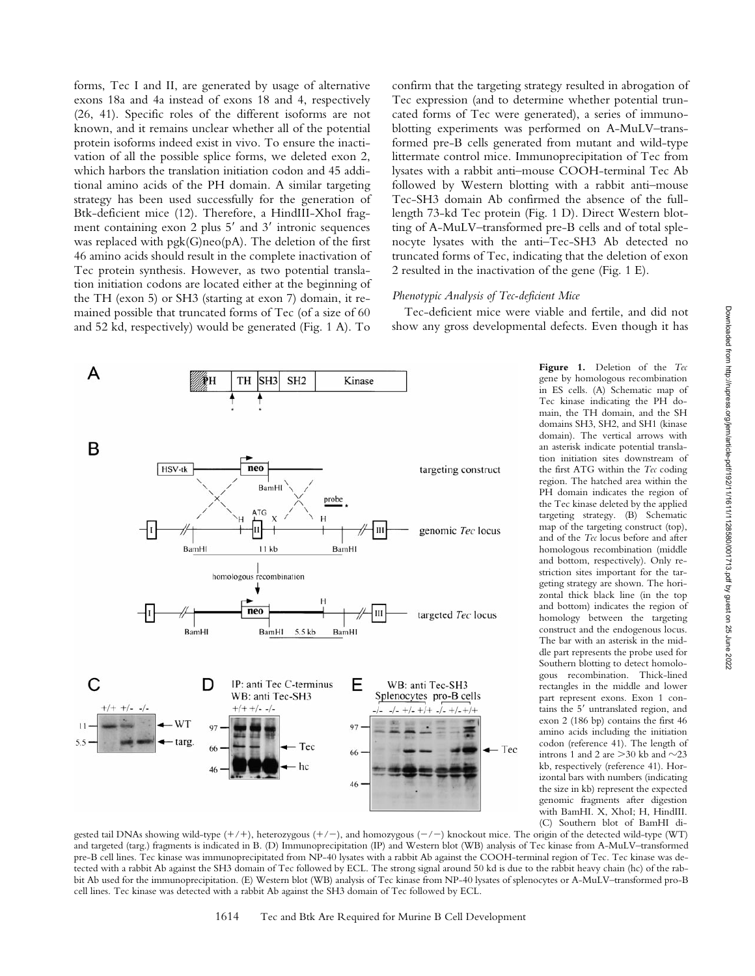forms, Tec I and II, are generated by usage of alternative exons 18a and 4a instead of exons 18 and 4, respectively (26, 41). Specific roles of the different isoforms are not known, and it remains unclear whether all of the potential protein isoforms indeed exist in vivo. To ensure the inactivation of all the possible splice forms, we deleted exon 2, which harbors the translation initiation codon and 45 additional amino acids of the PH domain. A similar targeting strategy has been used successfully for the generation of Btk-deficient mice (12). Therefore, a HindIII-XhoI fragment containing exon 2 plus  $5'$  and  $3'$  intronic sequences was replaced with pgk(G)neo(pA). The deletion of the first 46 amino acids should result in the complete inactivation of Tec protein synthesis. However, as two potential translation initiation codons are located either at the beginning of the TH (exon 5) or SH3 (starting at exon 7) domain, it remained possible that truncated forms of Tec (of a size of 60 and 52 kd, respectively) would be generated (Fig. 1 A). To

confirm that the targeting strategy resulted in abrogation of Tec expression (and to determine whether potential truncated forms of Tec were generated), a series of immunoblotting experiments was performed on A-MuLV–transformed pre-B cells generated from mutant and wild-type littermate control mice. Immunoprecipitation of Tec from lysates with a rabbit anti–mouse COOH-terminal Tec Ab followed by Western blotting with a rabbit anti–mouse Tec-SH3 domain Ab confirmed the absence of the fulllength 73-kd Tec protein (Fig. 1 D). Direct Western blotting of A-MuLV–transformed pre-B cells and of total splenocyte lysates with the anti–Tec-SH3 Ab detected no truncated forms of Tec, indicating that the deletion of exon 2 resulted in the inactivation of the gene (Fig. 1 E).

#### *Phenotypic Analysis of Tec-deficient Mice*

Tec-deficient mice were viable and fertile, and did not show any gross developmental defects. Even though it has



**Figure 1.** Deletion of the *Tec* gene by homologous recombination in ES cells. (A) Schematic map of Tec kinase indicating the PH domain, the TH domain, and the SH domains SH3, SH2, and SH1 (kinase domain). The vertical arrows with an asterisk indicate potential translation initiation sites downstream of the first ATG within the *Tec* coding region. The hatched area within the PH domain indicates the region of the Tec kinase deleted by the applied targeting strategy. (B) Schematic map of the targeting construct (top), and of the *Tec* locus before and after homologous recombination (middle and bottom, respectively). Only restriction sites important for the targeting strategy are shown. The horizontal thick black line (in the top and bottom) indicates the region of homology between the targeting construct and the endogenous locus. The bar with an asterisk in the middle part represents the probe used for Southern blotting to detect homologous recombination. Thick-lined rectangles in the middle and lower part represent exons. Exon 1 contains the 5' untranslated region, and exon 2 (186 bp) contains the first 46 amino acids including the initiation codon (reference 41). The length of introns 1 and 2 are  $>$  30 kb and  $\sim$  23 kb, respectively (reference 41). Horizontal bars with numbers (indicating the size in kb) represent the expected genomic fragments after digestion with BamHI. X, XhoI; H, HindIII. (C) Southern blot of BamHI di-

gested tail DNAs showing wild-type  $(+/+)$ , heterozygous  $(+/-)$ , and homozygous  $(-/-)$  knockout mice. The origin of the detected wild-type (WT) and targeted (targ.) fragments is indicated in B. (D) Immunoprecipitation (IP) and Western blot (WB) analysis of Tec kinase from A-MuLV–transformed pre-B cell lines. Tec kinase was immunoprecipitated from NP-40 lysates with a rabbit Ab against the COOH-terminal region of Tec. Tec kinase was detected with a rabbit Ab against the SH3 domain of Tec followed by ECL. The strong signal around 50 kd is due to the rabbit heavy chain (hc) of the rabbit Ab used for the immunoprecipitation. (E) Western blot (WB) analysis of Tec kinase from NP-40 lysates of splenocytes or A-MuLV–transformed pro-B cell lines. Tec kinase was detected with a rabbit Ab against the SH3 domain of Tec followed by ECL.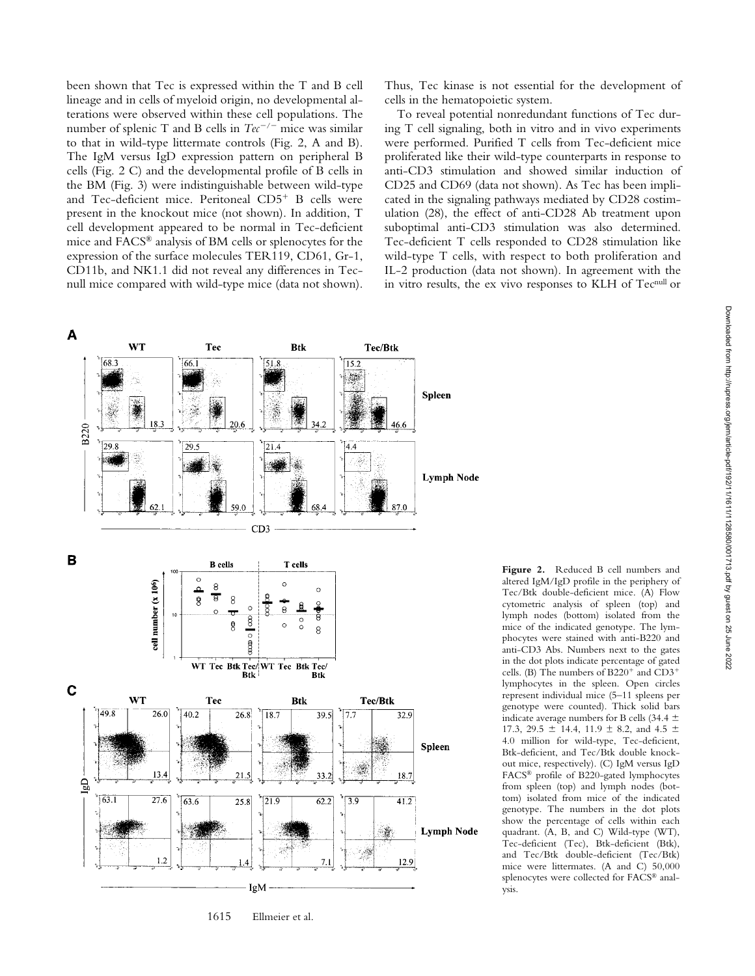been shown that Tec is expressed within the T and B cell lineage and in cells of myeloid origin, no developmental alterations were observed within these cell populations. The number of splenic T and B cells in  $Te^{-/-}$  mice was similar to that in wild-type littermate controls (Fig. 2, A and B). The IgM versus IgD expression pattern on peripheral B cells (Fig. 2 C) and the developmental profile of B cells in the BM (Fig. 3) were indistinguishable between wild-type and Tec-deficient mice. Peritoneal  $CD5<sup>+</sup>$  B cells were present in the knockout mice (not shown). In addition, T cell development appeared to be normal in Tec-deficient mice and FACS® analysis of BM cells or splenocytes for the expression of the surface molecules TER119, CD61, Gr-1, CD11b, and NK1.1 did not reveal any differences in Tecnull mice compared with wild-type mice (data not shown).

Thus, Tec kinase is not essential for the development of cells in the hematopoietic system.

To reveal potential nonredundant functions of Tec during T cell signaling, both in vitro and in vivo experiments were performed. Purified T cells from Tec-deficient mice proliferated like their wild-type counterparts in response to anti-CD3 stimulation and showed similar induction of CD25 and CD69 (data not shown). As Tec has been implicated in the signaling pathways mediated by CD28 costimulation (28), the effect of anti-CD28 Ab treatment upon suboptimal anti-CD3 stimulation was also determined. Tec-deficient T cells responded to CD28 stimulation like wild-type T cells, with respect to both proliferation and IL-2 production (data not shown). In agreement with the in vitro results, the ex vivo responses to KLH of Tecnull or



1615 Ellmeier et al.

**Figure 2.** Reduced B cell numbers and altered IgM/IgD profile in the periphery of Tec/Btk double-deficient mice. (A) Flow cytometric analysis of spleen (top) and lymph nodes (bottom) isolated from the mice of the indicated genotype. The lymphocytes were stained with anti-B220 and anti-CD3 Abs. Numbers next to the gates in the dot plots indicate percentage of gated cells. (B) The numbers of  $B220^+$  and  $CD3^+$ lymphocytes in the spleen. Open circles represent individual mice (5–11 spleens per genotype were counted). Thick solid bars indicate average numbers for B cells (34.4  $\pm$ 17.3, 29.5  $\pm$  14.4, 11.9  $\pm$  8.2, and 4.5  $\pm$ 4.0 million for wild-type, Tec-deficient, Btk-deficient, and Tec/Btk double knockout mice, respectively). (C) IgM versus IgD FACS® profile of B220-gated lymphocytes from spleen (top) and lymph nodes (bottom) isolated from mice of the indicated genotype. The numbers in the dot plots show the percentage of cells within each quadrant. (A, B, and C) Wild-type (WT), Tec-deficient (Tec), Btk-deficient (Btk), and Tec/Btk double-deficient (Tec/Btk) mice were littermates. (A and C) 50,000 splenocytes were collected for FACS® analysis.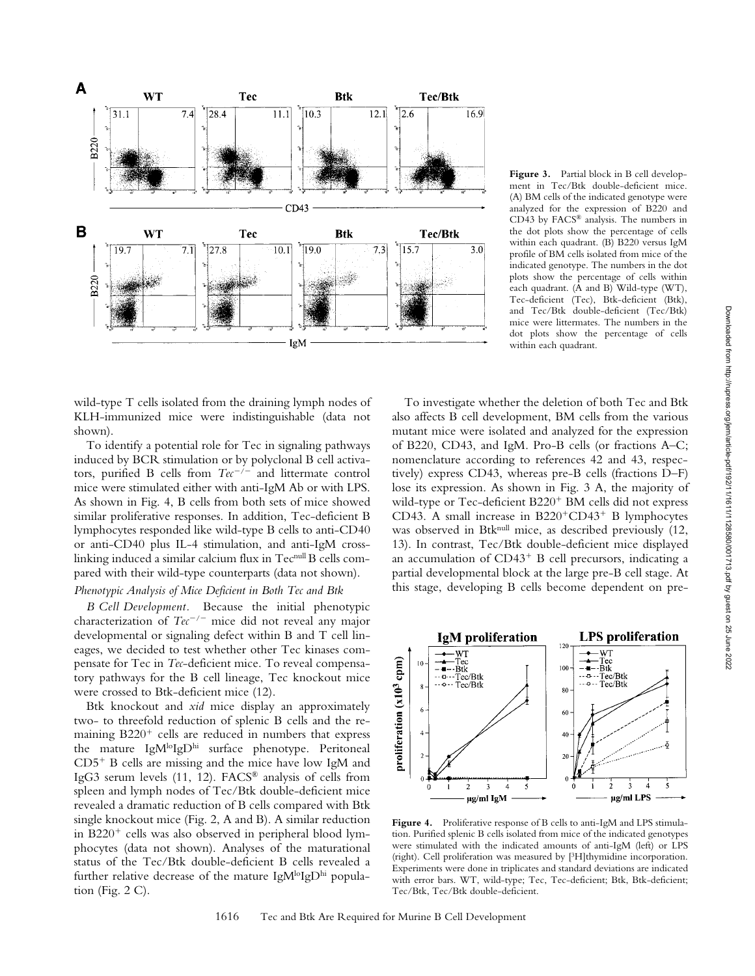

wild-type T cells isolated from the draining lymph nodes of KLH-immunized mice were indistinguishable (data not shown).

To identify a potential role for Tec in signaling pathways induced by BCR stimulation or by polyclonal B cell activators, purified B cells from  $Tec^{-/-}$  and littermate control mice were stimulated either with anti-IgM Ab or with LPS. As shown in Fig. 4, B cells from both sets of mice showed similar proliferative responses. In addition, Tec-deficient B lymphocytes responded like wild-type B cells to anti-CD40 or anti-CD40 plus IL-4 stimulation, and anti-IgM crosslinking induced a similar calcium flux in Tecnull B cells compared with their wild-type counterparts (data not shown).

## *Phenotypic Analysis of Mice Deficient in Both Tec and Btk*

*B Cell Development.* Because the initial phenotypic characterization of  $Te^{-/-}$  mice did not reveal any major developmental or signaling defect within B and T cell lineages, we decided to test whether other Tec kinases compensate for Tec in *Tec*-deficient mice. To reveal compensatory pathways for the B cell lineage, Tec knockout mice were crossed to Btk-deficient mice (12).

Btk knockout and *xid* mice display an approximately two- to threefold reduction of splenic B cells and the remaining  $B220<sup>+</sup>$  cells are reduced in numbers that express the mature IgM<sup>lo</sup>IgD<sup>hi</sup> surface phenotype. Peritoneal  $CD5<sup>+</sup>$  B cells are missing and the mice have low IgM and IgG3 serum levels (11, 12). FACS® analysis of cells from spleen and lymph nodes of Tec/Btk double-deficient mice revealed a dramatic reduction of B cells compared with Btk single knockout mice (Fig. 2, A and B). A similar reduction in B220<sup>+</sup> cells was also observed in peripheral blood lymphocytes (data not shown). Analyses of the maturational status of the Tec/Btk double-deficient B cells revealed a further relative decrease of the mature IgM $\log D^{\text{hi}}$  population (Fig.  $2 \text{ C}$ ).

**Figure 3.** Partial block in B cell development in Tec/Btk double-deficient mice. (A) BM cells of the indicated genotype were analyzed for the expression of B220 and CD43 by FACS® analysis. The numbers in the dot plots show the percentage of cells within each quadrant. (B) B220 versus IgM profile of BM cells isolated from mice of the indicated genotype. The numbers in the dot plots show the percentage of cells within each quadrant. (A and B) Wild-type (WT), Tec-deficient (Tec), Btk-deficient (Btk), and Tec/Btk double-deficient (Tec/Btk) mice were littermates. The numbers in the dot plots show the percentage of cells within each quadrant.

To investigate whether the deletion of both Tec and Btk also affects B cell development, BM cells from the various mutant mice were isolated and analyzed for the expression of B220, CD43, and IgM. Pro-B cells (or fractions A–C; nomenclature according to references 42 and 43, respectively) express CD43, whereas pre-B cells (fractions D–F) lose its expression. As shown in Fig. 3 A, the majority of wild-type or Tec-deficient  $B220<sup>+</sup>$  BM cells did not express CD43. A small increase in  $B220^+CD43^+$  B lymphocytes was observed in Btknull mice, as described previously (12, 13). In contrast, Tec/Btk double-deficient mice displayed an accumulation of  $CD43<sup>+</sup>$  B cell precursors, indicating a partial developmental block at the large pre-B cell stage. At this stage, developing B cells become dependent on pre-



Figure 4. Proliferative response of B cells to anti-IgM and LPS stimulation. Purified splenic B cells isolated from mice of the indicated genotypes were stimulated with the indicated amounts of anti-IgM (left) or LPS (right). Cell proliferation was measured by [3H]thymidine incorporation. Experiments were done in triplicates and standard deviations are indicated with error bars. WT, wild-type; Tec, Tec-deficient; Btk, Btk-deficient; Tec/Btk, Tec/Btk double-deficient.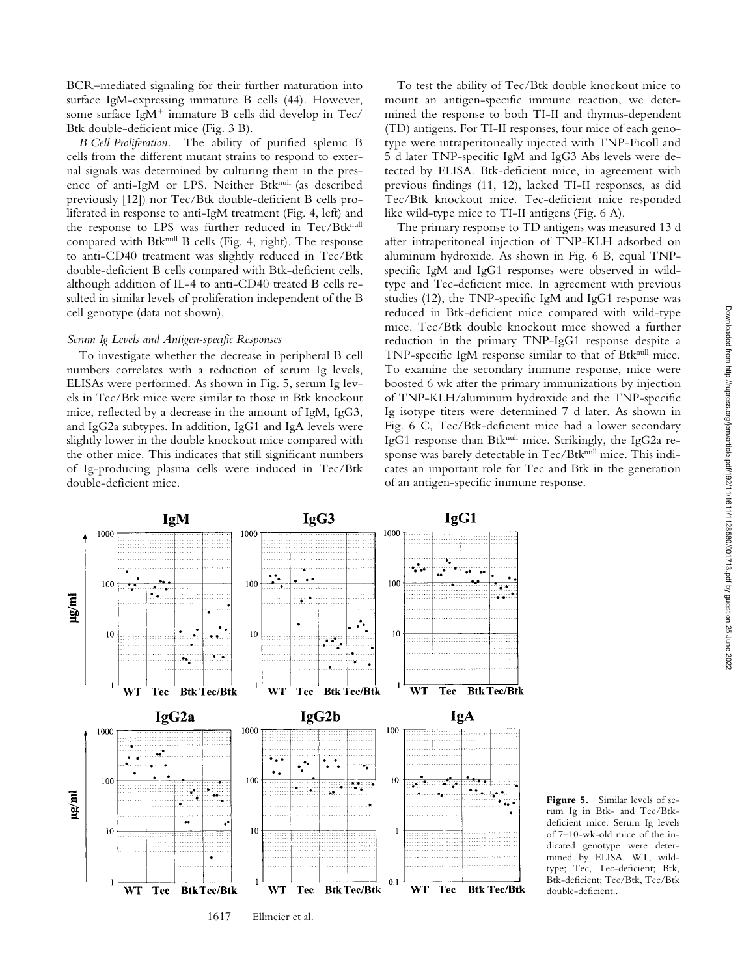BCR–mediated signaling for their further maturation into surface IgM-expressing immature B cells (44). However, some surface IgM<sup>+</sup> immature B cells did develop in Tec/ Btk double-deficient mice (Fig. 3 B).

*B Cell Proliferation.* The ability of purified splenic B cells from the different mutant strains to respond to external signals was determined by culturing them in the presence of anti-IgM or LPS. Neither Btknull (as described previously [12]) nor Tec/Btk double-deficient B cells proliferated in response to anti-IgM treatment (Fig. 4, left) and the response to LPS was further reduced in Tec/Btknull compared with Btknull B cells (Fig. 4, right). The response to anti-CD40 treatment was slightly reduced in Tec/Btk double-deficient B cells compared with Btk-deficient cells, although addition of IL-4 to anti-CD40 treated B cells resulted in similar levels of proliferation independent of the B cell genotype (data not shown).

### *Serum Ig Levels and Antigen-specific Responses*

To investigate whether the decrease in peripheral B cell numbers correlates with a reduction of serum Ig levels, ELISAs were performed. As shown in Fig. 5, serum Ig levels in Tec/Btk mice were similar to those in Btk knockout mice, reflected by a decrease in the amount of IgM, IgG3, and IgG2a subtypes. In addition, IgG1 and IgA levels were slightly lower in the double knockout mice compared with the other mice. This indicates that still significant numbers of Ig-producing plasma cells were induced in Tec/Btk double-deficient mice.

To test the ability of Tec/Btk double knockout mice to mount an antigen-specific immune reaction, we determined the response to both TI-II and thymus-dependent (TD) antigens. For TI-II responses, four mice of each genotype were intraperitoneally injected with TNP-Ficoll and 5 d later TNP-specific IgM and IgG3 Abs levels were detected by ELISA. Btk-deficient mice, in agreement with previous findings (11, 12), lacked TI-II responses, as did Tec/Btk knockout mice. Tec-deficient mice responded like wild-type mice to TI-II antigens (Fig. 6 A).

The primary response to TD antigens was measured 13 d after intraperitoneal injection of TNP-KLH adsorbed on aluminum hydroxide. As shown in Fig. 6 B, equal TNPspecific IgM and IgG1 responses were observed in wildtype and Tec-deficient mice. In agreement with previous studies (12), the TNP-specific IgM and IgG1 response was reduced in Btk-deficient mice compared with wild-type mice. Tec/Btk double knockout mice showed a further reduction in the primary TNP-IgG1 response despite a TNP-specific IgM response similar to that of Btknull mice. To examine the secondary immune response, mice were boosted 6 wk after the primary immunizations by injection of TNP-KLH/aluminum hydroxide and the TNP-specific Ig isotype titers were determined 7 d later. As shown in Fig. 6 C, Tec/Btk-deficient mice had a lower secondary IgG1 response than Btknull mice. Strikingly, the IgG2a response was barely detectable in Tec/Btknull mice. This indicates an important role for Tec and Btk in the generation of an antigen-specific immune response.



**Figure 5.** Similar levels of serum Ig in Btk- and Tec/Btkdeficient mice. Serum Ig levels of 7–10-wk-old mice of the indicated genotype were determined by ELISA. WT, wildtype; Tec, Tec-deficient; Btk, Btk-deficient; Tec/Btk, Tec/Btk double-deficient..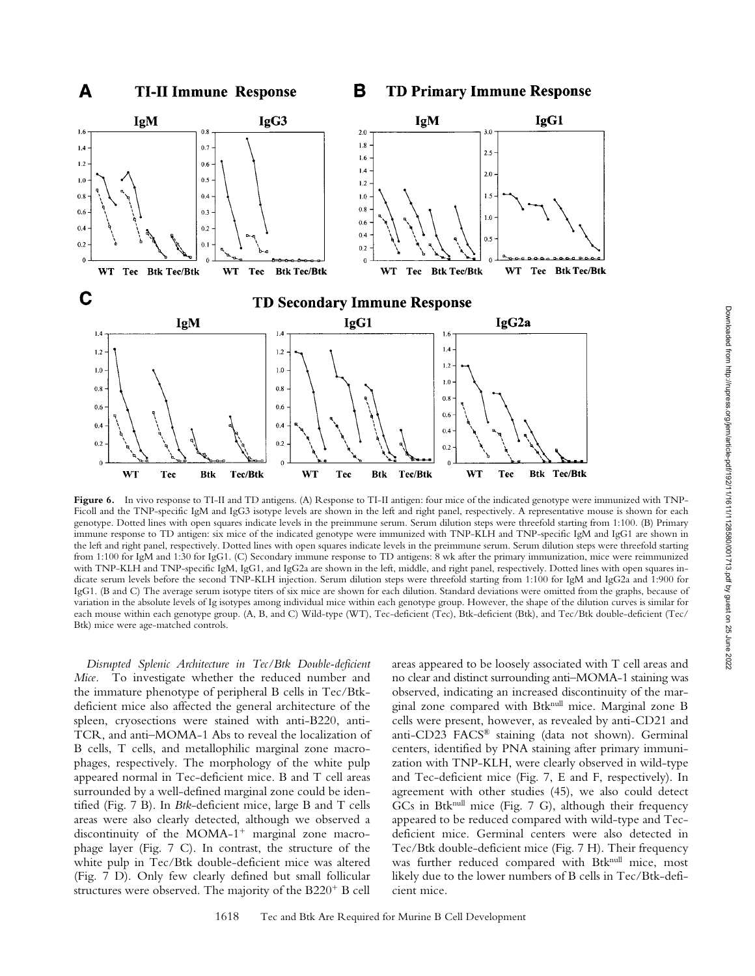

**Figure 6.** In vivo response to TI-II and TD antigens. (A) Response to TI-II antigen: four mice of the indicated genotype were immunized with TNP-Ficoll and the TNP-specific IgM and IgG3 isotype levels are shown in the left and right panel, respectively. A representative mouse is shown for each genotype. Dotted lines with open squares indicate levels in the preimmune serum. Serum dilution steps were threefold starting from 1:100. (B) Primary immune response to TD antigen: six mice of the indicated genotype were immunized with TNP-KLH and TNP-specific IgM and IgG1 are shown in the left and right panel, respectively. Dotted lines with open squares indicate levels in the preimmune serum. Serum dilution steps were threefold starting from 1:100 for IgM and 1:30 for IgG1. (C) Secondary immune response to TD antigens: 8 wk after the primary immunization, mice were reimmunized with TNP-KLH and TNP-specific IgM, IgG1, and IgG2a are shown in the left, middle, and right panel, respectively. Dotted lines with open squares indicate serum levels before the second TNP-KLH injection. Serum dilution steps were threefold starting from 1:100 for IgM and IgG2a and 1:900 for IgG1. (B and C) The average serum isotype titers of six mice are shown for each dilution. Standard deviations were omitted from the graphs, because of variation in the absolute levels of Ig isotypes among individual mice within each genotype group. However, the shape of the dilution curves is similar for each mouse within each genotype group. (A, B, and C) Wild-type (WT), Tec-deficient (Tec), Btk-deficient (Btk), and Tec/Btk double-deficient (Tec/ Btk) mice were age-matched controls.

*Disrupted Splenic Architecture in Tec/Btk Double-deficient Mice.* To investigate whether the reduced number and the immature phenotype of peripheral B cells in Tec/Btkdeficient mice also affected the general architecture of the spleen, cryosections were stained with anti-B220, anti-TCR, and anti–MOMA-1 Abs to reveal the localization of B cells, T cells, and metallophilic marginal zone macrophages, respectively. The morphology of the white pulp appeared normal in Tec-deficient mice. B and T cell areas surrounded by a well-defined marginal zone could be identified (Fig. 7 B). In *Btk*-deficient mice, large B and T cells areas were also clearly detected, although we observed a discontinuity of the MOMA- $1^+$  marginal zone macrophage layer (Fig. 7 C). In contrast, the structure of the white pulp in Tec/Btk double-deficient mice was altered (Fig. 7 D). Only few clearly defined but small follicular structures were observed. The majority of the  $B220<sup>+</sup> B$  cell

areas appeared to be loosely associated with T cell areas and no clear and distinct surrounding anti–MOMA-1 staining was observed, indicating an increased discontinuity of the marginal zone compared with Btknull mice. Marginal zone B cells were present, however, as revealed by anti-CD21 and anti-CD23 FACS® staining (data not shown). Germinal centers, identified by PNA staining after primary immunization with TNP-KLH, were clearly observed in wild-type and Tec-deficient mice (Fig. 7, E and F, respectively). In agreement with other studies (45), we also could detect GCs in Btk<sup>null</sup> mice (Fig. 7 G), although their frequency appeared to be reduced compared with wild-type and Tecdeficient mice. Germinal centers were also detected in Tec/Btk double-deficient mice (Fig. 7 H). Their frequency was further reduced compared with Btknull mice, most likely due to the lower numbers of B cells in Tec/Btk-deficient mice.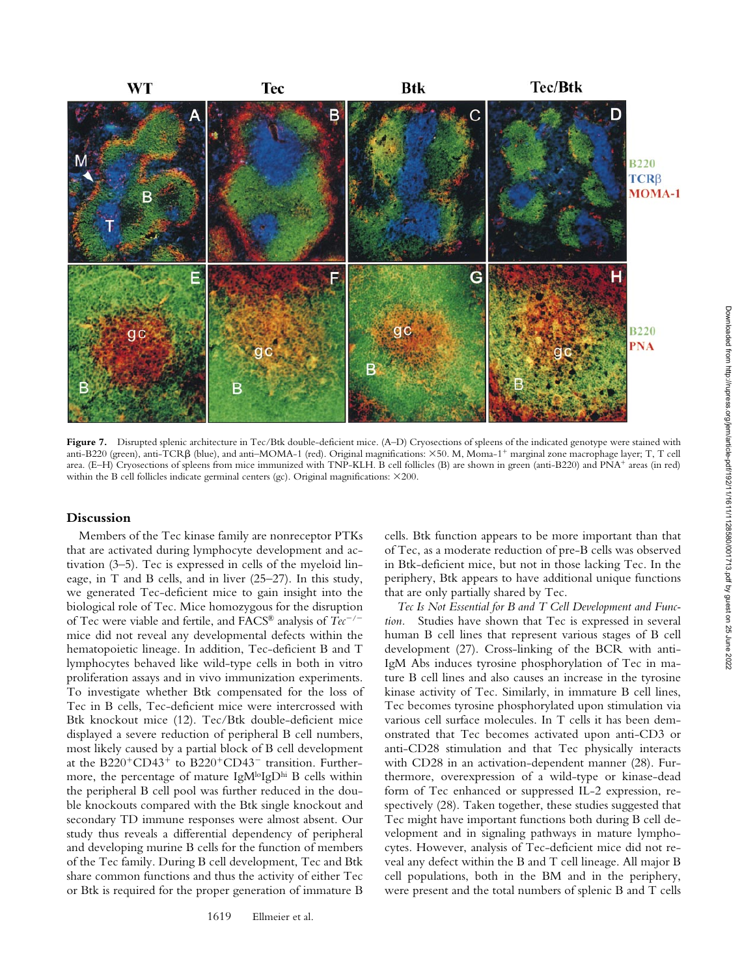

Figure 7. Disrupted splenic architecture in Tec/Btk double-deficient mice. (A–D) Cryosections of spleens of the indicated genotype were stained with anti-B220 (green), anti-TCRB (blue), and anti-MOMA-1 (red). Original magnifications:  $\times$ 50. M, Moma-1<sup>+</sup> marginal zone macrophage layer; T, T cell area. (E–H) Cryosections of spleens from mice immunized with TNP-KLH. B cell follicles (B) are shown in green (anti-B220) and PNA<sup>+</sup> areas (in red) within the B cell follicles indicate germinal centers (gc). Original magnifications:  $\times$ 200.

## **Discussion**

Members of the Tec kinase family are nonreceptor PTKs that are activated during lymphocyte development and activation (3–5). Tec is expressed in cells of the myeloid lineage, in T and B cells, and in liver (25–27). In this study, we generated Tec-deficient mice to gain insight into the biological role of Tec. Mice homozygous for the disruption of Tec were viable and fertile, and FACS<sup>®</sup> analysis of  $Tec^{-/-}$ mice did not reveal any developmental defects within the hematopoietic lineage. In addition, Tec-deficient B and T lymphocytes behaved like wild-type cells in both in vitro proliferation assays and in vivo immunization experiments. To investigate whether Btk compensated for the loss of Tec in B cells, Tec-deficient mice were intercrossed with Btk knockout mice (12). Tec/Btk double-deficient mice displayed a severe reduction of peripheral B cell numbers, most likely caused by a partial block of B cell development at the B220<sup>+</sup>CD43<sup>+</sup> to B220<sup>+</sup>CD43<sup>-</sup> transition. Furthermore, the percentage of mature  $IgM^{lo}IgD^{hi}B$  cells within the peripheral B cell pool was further reduced in the double knockouts compared with the Btk single knockout and secondary TD immune responses were almost absent. Our study thus reveals a differential dependency of peripheral and developing murine B cells for the function of members of the Tec family. During B cell development, Tec and Btk share common functions and thus the activity of either Tec or Btk is required for the proper generation of immature B

cells. Btk function appears to be more important than that of Tec, as a moderate reduction of pre-B cells was observed in Btk-deficient mice, but not in those lacking Tec. In the periphery, Btk appears to have additional unique functions that are only partially shared by Tec.

*Tec Is Not Essential for B and T Cell Development and Function.* Studies have shown that Tec is expressed in several human B cell lines that represent various stages of B cell development (27). Cross-linking of the BCR with anti-IgM Abs induces tyrosine phosphorylation of Tec in mature B cell lines and also causes an increase in the tyrosine kinase activity of Tec. Similarly, in immature B cell lines, Tec becomes tyrosine phosphorylated upon stimulation via various cell surface molecules. In T cells it has been demonstrated that Tec becomes activated upon anti-CD3 or anti-CD28 stimulation and that Tec physically interacts with CD28 in an activation-dependent manner (28). Furthermore, overexpression of a wild-type or kinase-dead form of Tec enhanced or suppressed IL-2 expression, respectively (28). Taken together, these studies suggested that Tec might have important functions both during B cell development and in signaling pathways in mature lymphocytes. However, analysis of Tec-deficient mice did not reveal any defect within the B and T cell lineage. All major B cell populations, both in the BM and in the periphery, were present and the total numbers of splenic B and T cells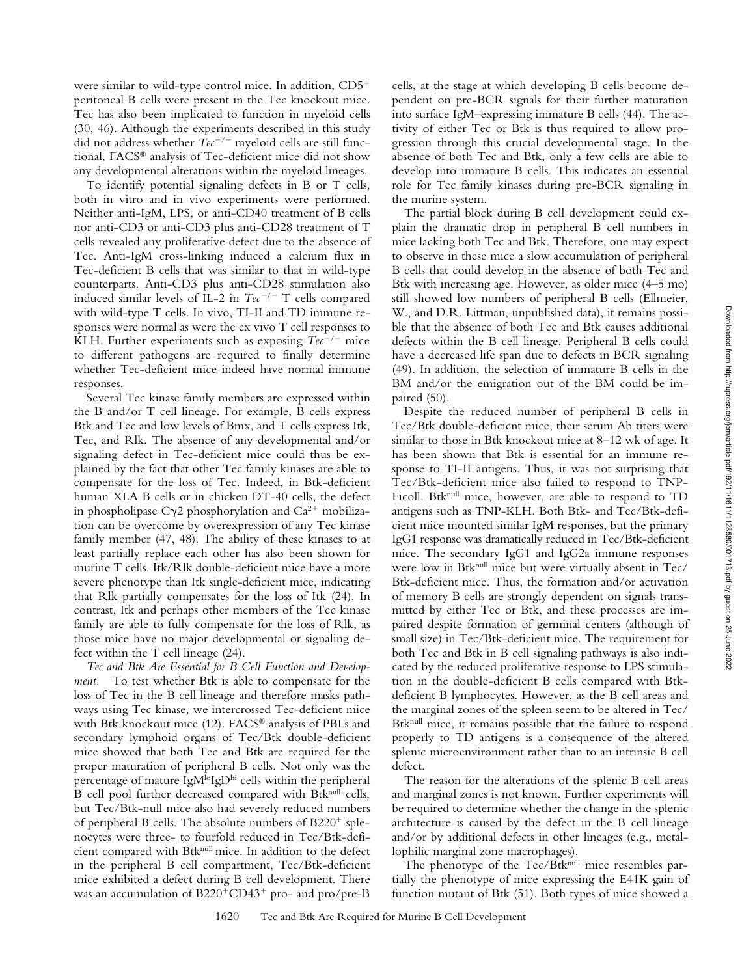were similar to wild-type control mice. In addition,  $CD5<sup>+</sup>$ peritoneal B cells were present in the Tec knockout mice. Tec has also been implicated to function in myeloid cells (30, 46). Although the experiments described in this study did not address whether  $Tec^{-/-}$  myeloid cells are still functional, FACS® analysis of Tec-deficient mice did not show any developmental alterations within the myeloid lineages.

To identify potential signaling defects in B or T cells, both in vitro and in vivo experiments were performed. Neither anti-IgM, LPS, or anti-CD40 treatment of B cells nor anti-CD3 or anti-CD3 plus anti-CD28 treatment of T cells revealed any proliferative defect due to the absence of Tec. Anti-IgM cross-linking induced a calcium flux in Tec-deficient B cells that was similar to that in wild-type counterparts. Anti-CD3 plus anti-CD28 stimulation also induced similar levels of IL-2 in  $Tec^{-/-}$  T cells compared with wild-type T cells. In vivo, TI-II and TD immune responses were normal as were the ex vivo T cell responses to KLH. Further experiments such as exposing  $Te<sup>-/-</sup>$  mice to different pathogens are required to finally determine whether Tec-deficient mice indeed have normal immune responses.

Several Tec kinase family members are expressed within the B and/or T cell lineage. For example, B cells express Btk and Tec and low levels of Bmx, and T cells express Itk, Tec, and Rlk. The absence of any developmental and/or signaling defect in Tec-deficient mice could thus be explained by the fact that other Tec family kinases are able to compensate for the loss of Tec. Indeed, in Btk-deficient human XLA B cells or in chicken DT-40 cells, the defect in phospholipase  $C\gamma$ 2 phosphorylation and  $Ca^{2+}$  mobilization can be overcome by overexpression of any Tec kinase family member (47, 48). The ability of these kinases to at least partially replace each other has also been shown for murine T cells. Itk/Rlk double-deficient mice have a more severe phenotype than Itk single-deficient mice, indicating that Rlk partially compensates for the loss of Itk (24). In contrast, Itk and perhaps other members of the Tec kinase family are able to fully compensate for the loss of Rlk, as those mice have no major developmental or signaling defect within the T cell lineage (24).

*Tec and Btk Are Essential for B Cell Function and Development.* To test whether Btk is able to compensate for the loss of Tec in the B cell lineage and therefore masks pathways using Tec kinase, we intercrossed Tec-deficient mice with Btk knockout mice (12). FACS® analysis of PBLs and secondary lymphoid organs of Tec/Btk double-deficient mice showed that both Tec and Btk are required for the proper maturation of peripheral B cells. Not only was the percentage of mature IgM<sup>lo</sup>IgDhi cells within the peripheral B cell pool further decreased compared with Btknull cells, but Tec/Btk-null mice also had severely reduced numbers of peripheral B cells. The absolute numbers of  $B220^+$  splenocytes were three- to fourfold reduced in Tec/Btk-deficient compared with Btknull mice. In addition to the defect in the peripheral B cell compartment, Tec/Btk-deficient mice exhibited a defect during B cell development. There was an accumulation of  $B220^+CD43^+$  pro- and pro/pre-B

cells, at the stage at which developing B cells become dependent on pre-BCR signals for their further maturation into surface IgM–expressing immature B cells (44). The activity of either Tec or Btk is thus required to allow progression through this crucial developmental stage. In the absence of both Tec and Btk, only a few cells are able to develop into immature B cells. This indicates an essential role for Tec family kinases during pre-BCR signaling in the murine system.

The partial block during B cell development could explain the dramatic drop in peripheral B cell numbers in mice lacking both Tec and Btk. Therefore, one may expect to observe in these mice a slow accumulation of peripheral B cells that could develop in the absence of both Tec and Btk with increasing age. However, as older mice (4–5 mo) still showed low numbers of peripheral B cells (Ellmeier, W., and D.R. Littman, unpublished data), it remains possible that the absence of both Tec and Btk causes additional defects within the B cell lineage. Peripheral B cells could have a decreased life span due to defects in BCR signaling (49). In addition, the selection of immature B cells in the BM and/or the emigration out of the BM could be impaired (50).

Despite the reduced number of peripheral B cells in Tec/Btk double-deficient mice, their serum Ab titers were similar to those in Btk knockout mice at 8–12 wk of age. It has been shown that Btk is essential for an immune response to TI-II antigens. Thus, it was not surprising that Tec/Btk-deficient mice also failed to respond to TNP-Ficoll. Btk<sup>null</sup> mice, however, are able to respond to TD antigens such as TNP-KLH. Both Btk- and Tec/Btk-deficient mice mounted similar IgM responses, but the primary IgG1 response was dramatically reduced in Tec/Btk-deficient mice. The secondary IgG1 and IgG2a immune responses were low in Btknull mice but were virtually absent in Tec/ Btk-deficient mice. Thus, the formation and/or activation of memory B cells are strongly dependent on signals transmitted by either Tec or Btk, and these processes are impaired despite formation of germinal centers (although of small size) in Tec/Btk-deficient mice. The requirement for both Tec and Btk in B cell signaling pathways is also indicated by the reduced proliferative response to LPS stimulation in the double-deficient B cells compared with Btkdeficient B lymphocytes. However, as the B cell areas and the marginal zones of the spleen seem to be altered in Tec/ Btknull mice, it remains possible that the failure to respond properly to TD antigens is a consequence of the altered splenic microenvironment rather than to an intrinsic B cell defect.

The reason for the alterations of the splenic B cell areas and marginal zones is not known. Further experiments will be required to determine whether the change in the splenic architecture is caused by the defect in the B cell lineage and/or by additional defects in other lineages (e.g., metallophilic marginal zone macrophages).

The phenotype of the Tec/Btknull mice resembles partially the phenotype of mice expressing the E41K gain of function mutant of Btk (51). Both types of mice showed a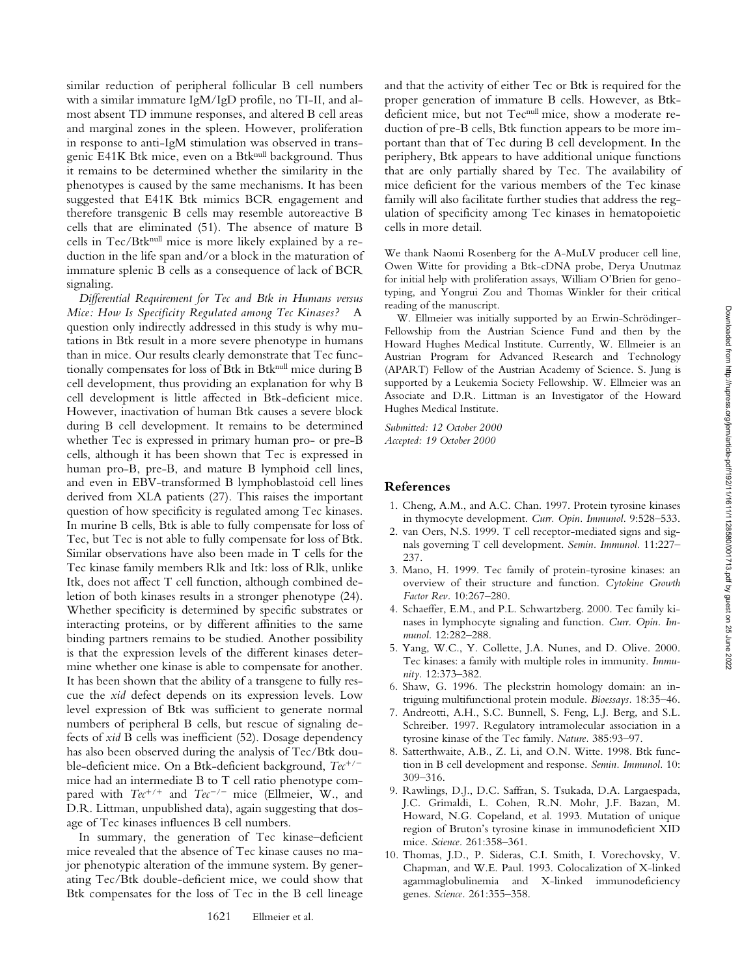Downloaded from http://rupress.org/jem/article-pdf/192/11/16111/1610001713.pdf by guest on 25 June 2022 Downloaded from http://rupress.org/jem/article-pdf/192/11/1611/1128580/001713.pdf by guest on 25 June 2022

similar reduction of peripheral follicular B cell numbers with a similar immature IgM/IgD profile, no TI-II, and almost absent TD immune responses, and altered B cell areas and marginal zones in the spleen. However, proliferation in response to anti-IgM stimulation was observed in transgenic E41K Btk mice, even on a Btknull background. Thus it remains to be determined whether the similarity in the phenotypes is caused by the same mechanisms. It has been suggested that E41K Btk mimics BCR engagement and therefore transgenic B cells may resemble autoreactive B cells that are eliminated (51). The absence of mature B cells in Tec/Btk<sup>null</sup> mice is more likely explained by a reduction in the life span and/or a block in the maturation of immature splenic B cells as a consequence of lack of BCR signaling.

*Differential Requirement for Tec and Btk in Humans versus Mice: How Is Specificity Regulated among Tec Kinases?* A question only indirectly addressed in this study is why mutations in Btk result in a more severe phenotype in humans than in mice. Our results clearly demonstrate that Tec functionally compensates for loss of Btk in Btknull mice during B cell development, thus providing an explanation for why B cell development is little affected in Btk-deficient mice. However, inactivation of human Btk causes a severe block during B cell development. It remains to be determined whether Tec is expressed in primary human pro- or pre-B cells, although it has been shown that Tec is expressed in human pro-B, pre-B, and mature B lymphoid cell lines, and even in EBV-transformed B lymphoblastoid cell lines derived from XLA patients (27). This raises the important question of how specificity is regulated among Tec kinases. In murine B cells, Btk is able to fully compensate for loss of Tec, but Tec is not able to fully compensate for loss of Btk. Similar observations have also been made in T cells for the Tec kinase family members Rlk and Itk: loss of Rlk, unlike Itk, does not affect T cell function, although combined deletion of both kinases results in a stronger phenotype (24). Whether specificity is determined by specific substrates or interacting proteins, or by different affinities to the same binding partners remains to be studied. Another possibility is that the expression levels of the different kinases determine whether one kinase is able to compensate for another. It has been shown that the ability of a transgene to fully rescue the *xid* defect depends on its expression levels. Low level expression of Btk was sufficient to generate normal numbers of peripheral B cells, but rescue of signaling defects of *xid* B cells was inefficient (52). Dosage dependency has also been observed during the analysis of Tec/Btk double-deficient mice. On a Btk-deficient background,  $Tec^{+/-}$ mice had an intermediate B to T cell ratio phenotype compared with  $Tec^{+/+}$  and  $Tec^{-/-}$  mice (Ellmeier, W., and D.R. Littman, unpublished data), again suggesting that dosage of Tec kinases influences B cell numbers.

In summary, the generation of Tec kinase–deficient mice revealed that the absence of Tec kinase causes no major phenotypic alteration of the immune system. By generating Tec/Btk double-deficient mice, we could show that Btk compensates for the loss of Tec in the B cell lineage

and that the activity of either Tec or Btk is required for the proper generation of immature B cells. However, as Btkdeficient mice, but not Tec<sup>null</sup> mice, show a moderate reduction of pre-B cells, Btk function appears to be more important than that of Tec during B cell development. In the periphery, Btk appears to have additional unique functions that are only partially shared by Tec. The availability of mice deficient for the various members of the Tec kinase family will also facilitate further studies that address the regulation of specificity among Tec kinases in hematopoietic cells in more detail.

We thank Naomi Rosenberg for the A-MuLV producer cell line, Owen Witte for providing a Btk-cDNA probe, Derya Unutmaz for initial help with proliferation assays, William O'Brien for genotyping, and Yongrui Zou and Thomas Winkler for their critical reading of the manuscript.

W. Ellmeier was initially supported by an Erwin-Schrödinger-Fellowship from the Austrian Science Fund and then by the Howard Hughes Medical Institute. Currently, W. Ellmeier is an Austrian Program for Advanced Research and Technology (APART) Fellow of the Austrian Academy of Science. S. Jung is supported by a Leukemia Society Fellowship. W. Ellmeier was an Associate and D.R. Littman is an Investigator of the Howard Hughes Medical Institute.

*Submitted: 12 October 2000 Accepted: 19 October 2000*

# **References**

- 1. Cheng, A.M., and A.C. Chan. 1997. Protein tyrosine kinases in thymocyte development. *Curr. Opin. Immunol.* 9:528–533.
- 2. van Oers, N.S. 1999. T cell receptor-mediated signs and signals governing T cell development. *Semin. Immunol.* 11:227– 237.
- 3. Mano, H. 1999. Tec family of protein-tyrosine kinases: an overview of their structure and function. *Cytokine Growth Factor Rev.* 10:267–280.
- 4. Schaeffer, E.M., and P.L. Schwartzberg. 2000. Tec family kinases in lymphocyte signaling and function. *Curr. Opin. Immunol.* 12:282–288.
- 5. Yang, W.C., Y. Collette, J.A. Nunes, and D. Olive. 2000. Tec kinases: a family with multiple roles in immunity. *Immunity.* 12:373–382.
- 6. Shaw, G. 1996. The pleckstrin homology domain: an intriguing multifunctional protein module. *Bioessays.* 18:35–46.
- 7. Andreotti, A.H., S.C. Bunnell, S. Feng, L.J. Berg, and S.L. Schreiber. 1997. Regulatory intramolecular association in a tyrosine kinase of the Tec family. *Nature.* 385:93–97.
- 8. Satterthwaite, A.B., Z. Li, and O.N. Witte. 1998. Btk function in B cell development and response. *Semin. Immunol.* 10: 309–316.
- 9. Rawlings, D.J., D.C. Saffran, S. Tsukada, D.A. Largaespada, J.C. Grimaldi, L. Cohen, R.N. Mohr, J.F. Bazan, M. Howard, N.G. Copeland, et al. 1993. Mutation of unique region of Bruton's tyrosine kinase in immunodeficient XID mice. *Science.* 261:358–361.
- 10. Thomas, J.D., P. Sideras, C.I. Smith, I. Vorechovsky, V. Chapman, and W.E. Paul. 1993. Colocalization of X-linked agammaglobulinemia and X-linked immunodeficiency genes. *Science.* 261:355–358.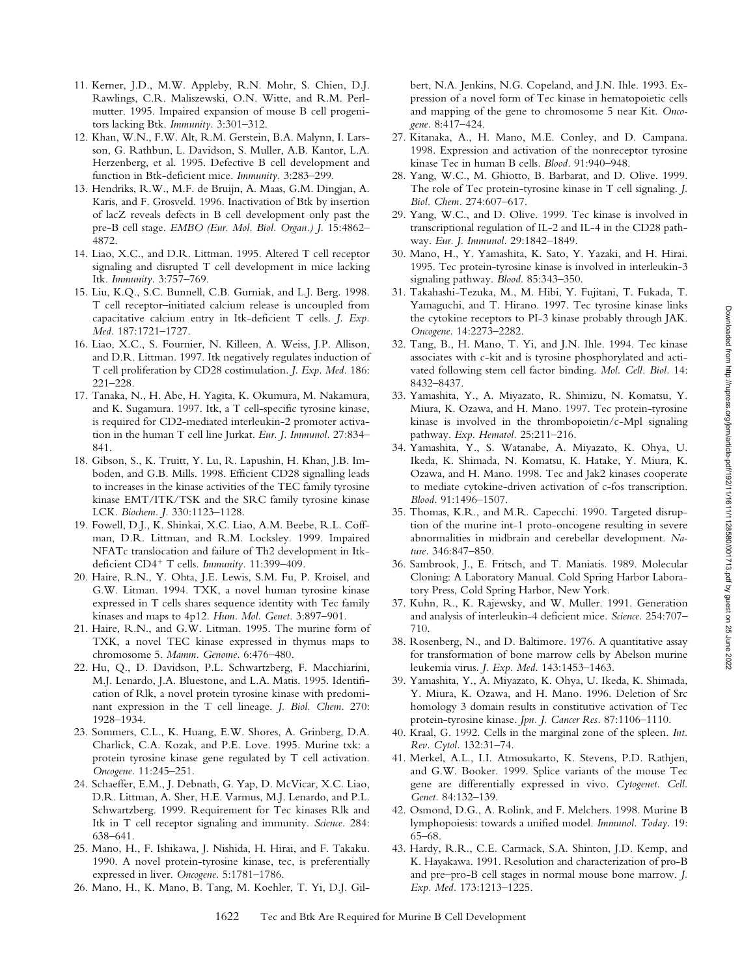and mapping of the gene to chromosome 5 near Kit. *Onco-*27. Kitanaka, A., H. Mano, M.E. Conley, and D. Campana. 1998. Expression and activation of the nonreceptor tyrosine kinase Tec in human B cells. *Blood.* 91:940–948. 28. Yang, W.C., M. Ghiotto, B. Barbarat, and D. Olive. 1999. The role of Tec protein-tyrosine kinase in T cell signaling. *J. Biol. Chem.* 274:607–617. 29. Yang, W.C., and D. Olive. 1999. Tec kinase is involved in transcriptional regulation of IL-2 and IL-4 in the CD28 pathway. *Eur. J. Immunol.* 29:1842–1849. 30. Mano, H., Y. Yamashita, K. Sato, Y. Yazaki, and H. Hirai. 1995. Tec protein-tyrosine kinase is involved in interleukin-3 signaling pathway. *Blood.* 85:343–350.

bert, N.A. Jenkins, N.G. Copeland, and J.N. Ihle. 1993. Expression of a novel form of Tec kinase in hematopoietic cells

*gene.* 8:417–424.

- 31. Takahashi-Tezuka, M., M. Hibi, Y. Fujitani, T. Fukada, T. Yamaguchi, and T. Hirano. 1997. Tec tyrosine kinase links the cytokine receptors to PI-3 kinase probably through JAK. *Oncogene.* 14:2273–2282.
- 32. Tang, B., H. Mano, T. Yi, and J.N. Ihle. 1994. Tec kinase associates with c-kit and is tyrosine phosphorylated and activated following stem cell factor binding. *Mol. Cell. Biol.* 14: 8432–8437.
- 33. Yamashita, Y., A. Miyazato, R. Shimizu, N. Komatsu, Y. Miura, K. Ozawa, and H. Mano. 1997. Tec protein-tyrosine kinase is involved in the thrombopoietin/c-Mpl signaling pathway. *Exp. Hematol.* 25:211–216.
- 34. Yamashita, Y., S. Watanabe, A. Miyazato, K. Ohya, U. Ikeda, K. Shimada, N. Komatsu, K. Hatake, Y. Miura, K. Ozawa, and H. Mano. 1998. Tec and Jak2 kinases cooperate to mediate cytokine-driven activation of c-fos transcription. *Blood.* 91:1496–1507.
- 35. Thomas, K.R., and M.R. Capecchi. 1990. Targeted disruption of the murine int-1 proto-oncogene resulting in severe abnormalities in midbrain and cerebellar development. *Nature.* 346:847–850.
- 36. Sambrook, J., E. Fritsch, and T. Maniatis. 1989. Molecular Cloning: A Laboratory Manual. Cold Spring Harbor Laboratory Press, Cold Spring Harbor, New York.
- 37. Kuhn, R., K. Rajewsky, and W. Muller. 1991. Generation and analysis of interleukin-4 deficient mice. *Science.* 254:707– 710.
- 38. Rosenberg, N., and D. Baltimore. 1976. A quantitative assay for transformation of bone marrow cells by Abelson murine leukemia virus. *J. Exp. Med.* 143:1453–1463.
- 39. Yamashita, Y., A. Miyazato, K. Ohya, U. Ikeda, K. Shimada, Y. Miura, K. Ozawa, and H. Mano. 1996. Deletion of Src homology 3 domain results in constitutive activation of Tec protein-tyrosine kinase. *Jpn. J. Cancer Res.* 87:1106–1110.
- 40. Kraal, G. 1992. Cells in the marginal zone of the spleen. *Int. Rev. Cytol.* 132:31–74.
- 41. Merkel, A.L., I.I. Atmosukarto, K. Stevens, P.D. Rathjen, and G.W. Booker. 1999. Splice variants of the mouse Tec gene are differentially expressed in vivo. *Cytogenet. Cell. Genet.* 84:132–139.
- 42. Osmond, D.G., A. Rolink, and F. Melchers. 1998. Murine B lymphopoiesis: towards a unified model. *Immunol. Today.* 19: 65–68.
- 43. Hardy, R.R., C.E. Carmack, S.A. Shinton, J.D. Kemp, and K. Hayakawa. 1991. Resolution and characterization of pro-B and pre–pro-B cell stages in normal mouse bone marrow. *J. Exp. Med.* 173:1213–1225.
- 11. Kerner, J.D., M.W. Appleby, R.N. Mohr, S. Chien, D.J. Rawlings, C.R. Maliszewski, O.N. Witte, and R.M. Perlmutter. 1995. Impaired expansion of mouse B cell progenitors lacking Btk. *Immunity.* 3:301–312.
- 12. Khan, W.N., F.W. Alt, R.M. Gerstein, B.A. Malynn, I. Larsson, G. Rathbun, L. Davidson, S. Muller, A.B. Kantor, L.A. Herzenberg, et al. 1995. Defective B cell development and function in Btk-deficient mice. *Immunity.* 3:283–299.
- 13. Hendriks, R.W., M.F. de Bruijn, A. Maas, G.M. Dingjan, A. Karis, and F. Grosveld. 1996. Inactivation of Btk by insertion of lacZ reveals defects in B cell development only past the pre-B cell stage. *EMBO (Eur. Mol. Biol. Organ.) J.* 15:4862– 4872.
- 14. Liao, X.C., and D.R. Littman. 1995. Altered T cell receptor signaling and disrupted T cell development in mice lacking Itk. *Immunity.* 3:757–769.
- 15. Liu, K.Q., S.C. Bunnell, C.B. Gurniak, and L.J. Berg. 1998. T cell receptor–initiated calcium release is uncoupled from capacitative calcium entry in Itk-deficient T cells. *J. Exp. Med.* 187:1721–1727.
- 16. Liao, X.C., S. Fournier, N. Killeen, A. Weiss, J.P. Allison, and D.R. Littman. 1997. Itk negatively regulates induction of T cell proliferation by CD28 costimulation. *J. Exp. Med.* 186: 221–228.
- 17. Tanaka, N., H. Abe, H. Yagita, K. Okumura, M. Nakamura, and K. Sugamura. 1997. Itk, a T cell-specific tyrosine kinase, is required for CD2-mediated interleukin-2 promoter activation in the human T cell line Jurkat. *Eur. J. Immunol.* 27:834– 841.
- 18. Gibson, S., K. Truitt, Y. Lu, R. Lapushin, H. Khan, J.B. Imboden, and G.B. Mills. 1998. Efficient CD28 signalling leads to increases in the kinase activities of the TEC family tyrosine kinase EMT/ITK/TSK and the SRC family tyrosine kinase LCK. *Biochem. J.* 330:1123–1128.
- 19. Fowell, D.J., K. Shinkai, X.C. Liao, A.M. Beebe, R.L. Coffman, D.R. Littman, and R.M. Locksley. 1999. Impaired NFATc translocation and failure of Th2 development in Itkdeficient CD4<sup>+</sup> T cells. Immunity. 11:399-409.
- 20. Haire, R.N., Y. Ohta, J.E. Lewis, S.M. Fu, P. Kroisel, and G.W. Litman. 1994. TXK, a novel human tyrosine kinase expressed in T cells shares sequence identity with Tec family kinases and maps to 4p12. *Hum. Mol. Genet.* 3:897–901.
- 21. Haire, R.N., and G.W. Litman. 1995. The murine form of TXK, a novel TEC kinase expressed in thymus maps to chromosome 5. *Mamm. Genome.* 6:476–480.
- 22. Hu, Q., D. Davidson, P.L. Schwartzberg, F. Macchiarini, M.J. Lenardo, J.A. Bluestone, and L.A. Matis. 1995. Identification of Rlk, a novel protein tyrosine kinase with predominant expression in the T cell lineage. *J. Biol. Chem.* 270: 1928–1934.
- 23. Sommers, C.L., K. Huang, E.W. Shores, A. Grinberg, D.A. Charlick, C.A. Kozak, and P.E. Love. 1995. Murine txk: a protein tyrosine kinase gene regulated by T cell activation. *Oncogene.* 11:245–251.
- 24. Schaeffer, E.M., J. Debnath, G. Yap, D. McVicar, X.C. Liao, D.R. Littman, A. Sher, H.E. Varmus, M.J. Lenardo, and P.L. Schwartzberg. 1999. Requirement for Tec kinases Rlk and Itk in T cell receptor signaling and immunity. *Science.* 284: 638–641.
- 25. Mano, H., F. Ishikawa, J. Nishida, H. Hirai, and F. Takaku. 1990. A novel protein-tyrosine kinase, tec, is preferentially expressed in liver. *Oncogene.* 5:1781–1786.
- 26. Mano, H., K. Mano, B. Tang, M. Koehler, T. Yi, D.J. Gil-